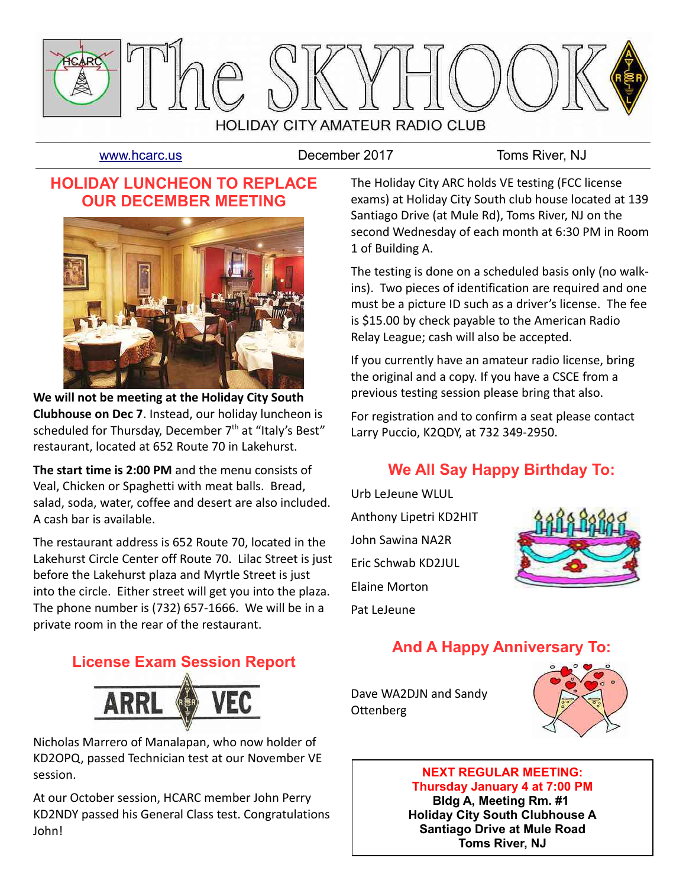

[www.hcarc.us](http://www.hcarc.us/) **December 2017** Toms River, NJ

1 of Building A.

## **HOLIDAY LUNCHEON TO REPLACE OUR DECEMBER MEETING**



**We will not be meeting at the Holiday City South Clubhouse on Dec 7**. Instead, our holiday luncheon is scheduled for Thursday, December  $7<sup>th</sup>$  at "Italy's Best" restaurant, located at 652 Route 70 in Lakehurst.

**The start time is 2:00 PM** and the menu consists of Veal, Chicken or Spaghetti with meat balls. Bread, salad, soda, water, coffee and desert are also included. A cash bar is available.

The restaurant address is 652 Route 70, located in the Lakehurst Circle Center off Route 70. Lilac Street is just before the Lakehurst plaza and Myrtle Street is just into the circle. Either street will get you into the plaza. The phone number is (732) 657-1666. We will be in a private room in the rear of the restaurant.

The testing is done on a scheduled basis only (no walkins). Two pieces of identification are required and one must be a picture ID such as a driver's license. The fee is \$15.00 by check payable to the American Radio Relay League; cash will also be accepted.

The Holiday City ARC holds VE testing (FCC license exams) at Holiday City South club house located at 139 Santiago Drive (at Mule Rd), Toms River, NJ on the second Wednesday of each month at 6:30 PM in Room

If you currently have an amateur radio license, bring the original and a copy. If you have a CSCE from a previous testing session please bring that also.

For registration and to confirm a seat please contact Larry Puccio, K2QDY, at 732 349-2950.

# **We All Say Happy Birthday To:**

Urb LeJeune WLUL Anthony Lipetri KD2HIT John Sawina NA2R Eric Schwab KD2JUL Elaine Morton Pat LeJeune



# **And A Happy Anniversary To:**

**License Exam Session Report**



Nicholas Marrero of Manalapan, who now holder of KD2OPQ, passed Technician test at our November VE session.

At our October session, HCARC member John Perry KD2NDY passed his General Class test. Congratulations John!

Dave WA2DJN and Sandy Ottenberg



#### **NEXT REGULAR MEETING: Thursday January 4 at 7:00 PM**

**Bldg A, Meeting Rm. #1 Holiday City South Clubhouse A Santiago Drive at Mule Road Toms River, NJ**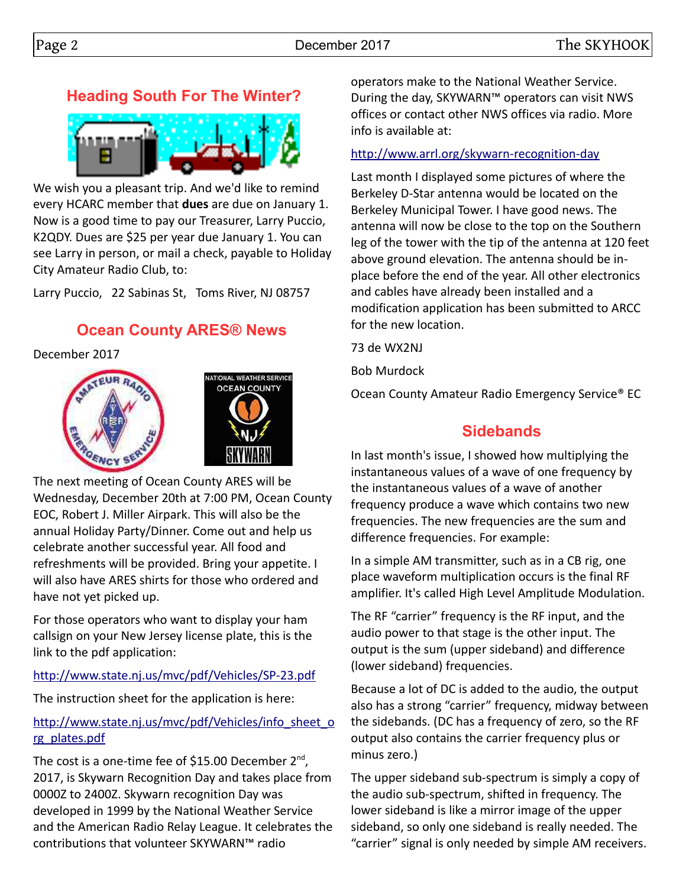# **Heading South For The Winter?**



We wish you a pleasant trip. And we'd like to remind every HCARC member that **dues** are due on January 1. Now is a good time to pay our Treasurer, Larry Puccio, K2QDY. Dues are \$25 per year due January 1. You can see Larry in person, or mail a check, payable to Holiday City Amateur Radio Club, to:

Larry Puccio, 22 Sabinas St, Toms River, NJ 08757

## **Ocean County ARES® News**

December 2017





The next meeting of Ocean County ARES will be Wednesday, December 20th at 7:00 PM, Ocean County EOC, Robert J. Miller Airpark. This will also be the annual Holiday Party/Dinner. Come out and help us celebrate another successful year. All food and refreshments will be provided. Bring your appetite. I will also have ARES shirts for those who ordered and have not yet picked up.

For those operators who want to display your ham callsign on your New Jersey license plate, this is the link to the pdf application:

<http://www.state.nj.us/mvc/pdf/Vehicles/SP-23.pdf>

The instruction sheet for the application is here:

#### [http://www.state.nj.us/mvc/pdf/Vehicles/info\\_sheet\\_o](http://www.state.nj.us/mvc/pdf/Vehicles/info_sheet_org_plates.pdf) [rg\\_plates.pdf](http://www.state.nj.us/mvc/pdf/Vehicles/info_sheet_org_plates.pdf)

The cost is a one-time fee of \$15.00 December  $2^{nd}$ , 2017, is Skywarn Recognition Day and takes place from 0000Z to 2400Z. Skywarn recognition Day was developed in 1999 by the National Weather Service and the American Radio Relay League. It celebrates the contributions that volunteer SKYWARN™ radio

operators make to the National Weather Service. During the day, SKYWARN™ operators can visit NWS offices or contact other NWS offices via radio. More info is available at:

#### <http://www.arrl.org/skywarn-recognition-day>

Last month I displayed some pictures of where the Berkeley D-Star antenna would be located on the Berkeley Municipal Tower. I have good news. The antenna will now be close to the top on the Southern leg of the tower with the tip of the antenna at 120 feet above ground elevation. The antenna should be inplace before the end of the year. All other electronics and cables have already been installed and a modification application has been submitted to ARCC for the new location.

73 de WX2NJ

Bob Murdock

Ocean County Amateur Radio Emergency Service® EC

## **Sidebands**

In last month's issue, I showed how multiplying the instantaneous values of a wave of one frequency by the instantaneous values of a wave of another frequency produce a wave which contains two new frequencies. The new frequencies are the sum and difference frequencies. For example:

In a simple AM transmitter, such as in a CB rig, one place waveform multiplication occurs is the final RF amplifier. It's called High Level Amplitude Modulation.

The RF "carrier" frequency is the RF input, and the audio power to that stage is the other input. The output is the sum (upper sideband) and difference (lower sideband) frequencies.

Because a lot of DC is added to the audio, the output also has a strong "carrier" frequency, midway between the sidebands. (DC has a frequency of zero, so the RF output also contains the carrier frequency plus or minus zero.)

The upper sideband sub-spectrum is simply a copy of the audio sub-spectrum, shifted in frequency. The lower sideband is like a mirror image of the upper sideband, so only one sideband is really needed. The "carrier" signal is only needed by simple AM receivers.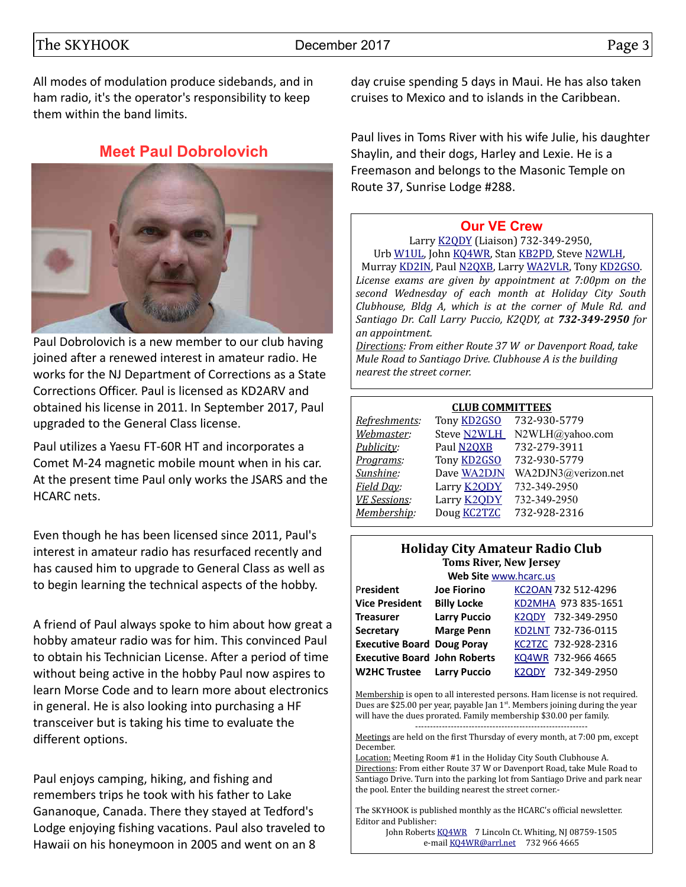The SKYHOOK December 2017 Page 3

All modes of modulation produce sidebands, and in ham radio, it's the operator's responsibility to keep them within the band limits.

### **Meet Paul Dobrolovich**



Paul Dobrolovich is a new member to our club having joined after a renewed interest in amateur radio. He works for the NJ Department of Corrections as a State Corrections Officer. Paul is licensed as KD2ARV and obtained his license in 2011. In September 2017, Paul upgraded to the General Class license.

Paul utilizes a Yaesu FT-60R HT and incorporates a Comet M-24 magnetic mobile mount when in his car. At the present time Paul only works the JSARS and the HCARC nets.

Even though he has been licensed since 2011, Paul's interest in amateur radio has resurfaced recently and has caused him to upgrade to General Class as well as to begin learning the technical aspects of the hobby.

A friend of Paul always spoke to him about how great a hobby amateur radio was for him. This convinced Paul to obtain his Technician License. After a period of time without being active in the hobby Paul now aspires to learn Morse Code and to learn more about electronics in general. He is also looking into purchasing a HF transceiver but is taking his time to evaluate the different options.

Paul enjoys camping, hiking, and fishing and remembers trips he took with his father to Lake Gananoque, Canada. There they stayed at Tedford's Lodge enjoying fishing vacations. Paul also traveled to Hawaii on his honeymoon in 2005 and went on an 8

day cruise spending 5 days in Maui. He has also taken cruises to Mexico and to islands in the Caribbean.

Paul lives in Toms River with his wife Julie, his daughter Shaylin, and their dogs, Harley and Lexie. He is a Freemason and belongs to the Masonic Temple on Route 37, Sunrise Lodge #288.

#### **[Our VE Crew](mailto:lpuccio1@comcast.net?subject=VE)**

Larry [K2QDY](mailto:lpuccio1@comcast.net) (Liaison) 732-349-2950, Urb [W1UL,](mailto:urb@W1UL.com) John [KQ4WR,](mailto:kq4wr@arrl.net) Stan [KB2PD,](mailto:kb2pd@hotmail.com) Steve [N2WLH,](mailto:n2wlh@yahoo.com) Murray [KD2IN,](mailto:murraykd2in@comcast.net) Paul [N2QXB,](mailto:n2qxb@juno.com) Larry [WA2VLR,](mailto:lloscalz@optonline.net) Tony [KD2GSO.](mailto:tonyk613@comcast.net) *License exams are given by appointment at 7:00pm on the second Wednesday of each month at Holiday City South Clubhouse, Bldg A, which is at the corner of Mule Rd. and Santiago Dr. Call Larry Puccio, K2QDY, at 732-349-2950 for an appointment.* 

*Directions: From either Route 37 W or Davenport Road, take Mule Road to Santiago Drive. Clubhouse A is the building nearest the street corner.*

#### **CLUB COMMITTEES**

| Refreshments:       | Tony <b>KD2GSO</b> | 732-930-5779        |
|---------------------|--------------------|---------------------|
| Webmaster:          | Steve N2WLH        | N2WLH@yahoo.com     |
| Publicity:          | Paul N2QXB         | 732-279-3911        |
| Programs:           | Tony <b>KD2GSO</b> | 732-930-5779        |
| Sunshine:           | Dave WA2DJN        | WA2DJN3@verizon.net |
| Field Day:          | Larry <b>K2QDY</b> | 732-349-2950        |
| <b>VE Sessions:</b> | Larry <b>K2ODY</b> | 732-349-2950        |
| Membership:         | Doug <b>KC2TZC</b> | 732-928-2316        |
|                     |                    |                     |

#### **Holiday City Amateur Radio Club Toms River, New Jersey**

| Web Site www.hcarc.us               |                     |                                    |  |  |  |  |  |  |
|-------------------------------------|---------------------|------------------------------------|--|--|--|--|--|--|
| President                           | <b>Joe Fiorino</b>  | KC2OAN 732 512-4296                |  |  |  |  |  |  |
| <b>Vice President</b>               | <b>Billy Locke</b>  | KD2MHA 973 835-1651                |  |  |  |  |  |  |
| <b>Treasurer</b>                    | <b>Larry Puccio</b> | K2QDY 732-349-2950                 |  |  |  |  |  |  |
| <b>Secretary</b>                    | <b>Marge Penn</b>   | KD2LNT 732-736-0115                |  |  |  |  |  |  |
| <b>Executive Board Doug Poray</b>   |                     | KC2TZC 732-928-2316                |  |  |  |  |  |  |
| <b>Executive Board John Roberts</b> |                     | KQ4WR 732-966 4665                 |  |  |  |  |  |  |
| <b>W2HC Trustee Larry Puccio</b>    |                     | 732-349-2950<br>K <sub>2</sub> ODY |  |  |  |  |  |  |

Membership is open to all interested persons. Ham license is not required. Dues are \$25.00 per year, payable Jan  $1<sup>st</sup>$ . Members joining during the year will have the dues prorated. Family membership \$30.00 per family. ----------------------------------------------------------

Meetings are held on the first Thursday of every month, at 7:00 pm, except December.

Location: Meeting Room #1 in the Holiday City South Clubhouse A. Directions: From either Route 37 W or Davenport Road, take Mule Road to Santiago Drive. Turn into the parking lot from Santiago Drive and park near the pool. Enter the building nearest the street corner.-

The SKYHOOK is published monthly as the HCARC's official newsletter. Editor and Publisher:

John Roberts [KQ4WR](mailto:kq4wr@arrl.net) 7 Lincoln Ct. Whiting, NJ 08759-1505 e-mail [KQ4WR@arrl.net](mailto:KQ4WR@arrl.net) 732 966 4665